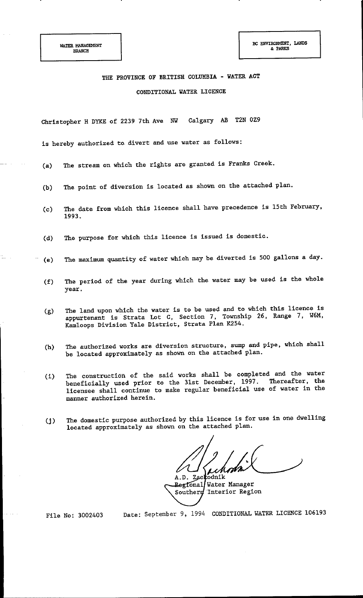## THE PROVINCE OF BRITISH COLUMBIA - WATER ACT CONDITIONAL WATER LICENCE

Calgary AB **T2N 0Z9** Christopher H DYKE of 2239 7th Ave NW

is hereby authorized to divert and use water as follows:

- The stream on which the rights are granted is Franks Creek.  $(a)$
- The point of diversion is located as shown on the attached plan.  $(b)$
- The date from which this licence shall have precedence is 15th February,  $(c)$ 1993.
- The purpose for which this licence is issued is domestic.  $(d)$
- The maximum quantity of water which may be diverted is 500 gallons a day.  $(e)$
- The period of the year during which the water may be used is the whole  $(f)$ year.
- The land upon which the water is to be used and to which this licence is  $(g)$ appurtenant is Strata Lot C, Section 7, Township 26, Range 7, W6M, Kamloops Division Yale District, Strata Plan K254.
- The authorized works are diversion structure, sump and pipe, which shall  $(h)$ be located approximately as shown on the attached plan.
- The construction of the said works shall be completed and the water  $(1)$ beneficially used prior to the 31st December, 1997. Thereafter, the licensee shall continue to make regular beneficial use of water in the manner authorized herein.
- The domestic purpose authorized by this licence is for use in one dwelling  $(i)$ located approximately as shown on the attached plan.

A.D. Zackodnik

Regional Water Manager Southern Interior Region

File No: 3002403

Date: September 9, 1994 CONDITIONAL WATER LICENCE 106193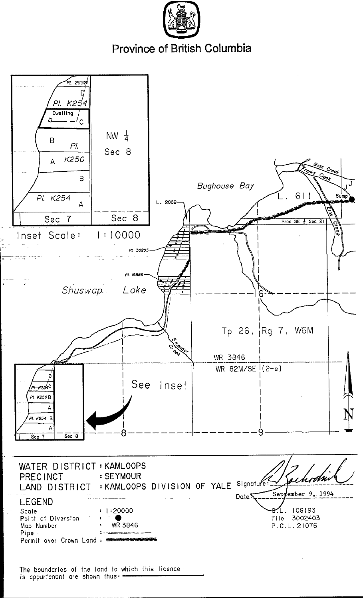

Province of British Columbia



is appurtenant are shown thus: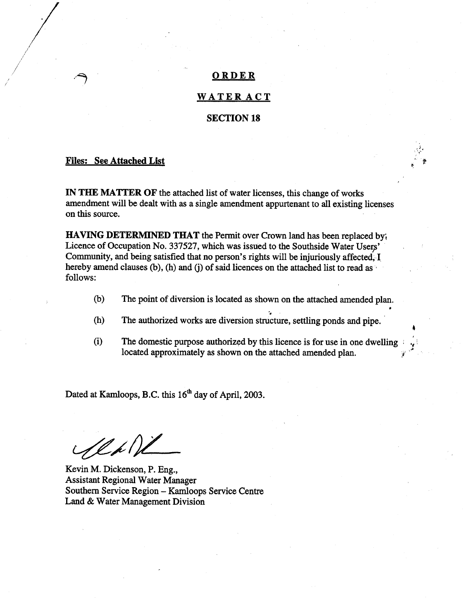#### ORDER

#### **WATERACT**

#### **SECTION 18**

#### **Files: See Attached List**

IN THE MATTER OF the attached list of water licenses, this change of works amendment will be dealt with as a single amendment appurtenant to all existing licenses on this source.

HAVING DETERMINED THAT the Permit over Crown land has been replaced by. Licence of Occupation No. 337527, which was issued to the Southside Water Users' Community, and being satisfied that no person's rights will be injuriously affected, I hereby amend clauses (b), (h) and (j) of said licences on the attached list to read as follows:

- $(b)$ The point of diversion is located as shown on the attached amended plan.
- The authorized works are diversion structure, settling ponds and pipe.  $(h)$
- $(i)$ The domestic purpose authorized by this licence is for use in one dwelling located approximately as shown on the attached amended plan.

Dated at Kamloops, B.C. this 16<sup>th</sup> day of April, 2003.

1 l p 1

Kevin M. Dickenson, P. Eng., **Assistant Regional Water Manager** Southern Service Region - Kamloops Service Centre Land & Water Management Division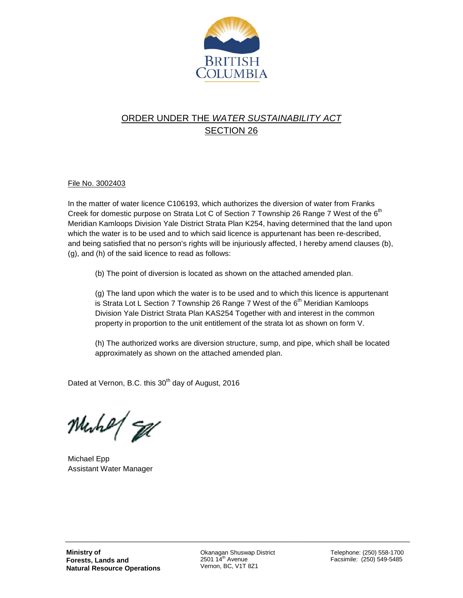

### ORDER UNDER THE *WATER SUSTAINABILITY ACT* SECTION 26

#### File No. 3002403

In the matter of water licence C106193, which authorizes the diversion of water from Franks Creek for domestic purpose on Strata Lot C of Section 7 Township 26 Range 7 West of the 6<sup>th</sup> Meridian Kamloops Division Yale District Strata Plan K254, having determined that the land upon which the water is to be used and to which said licence is appurtenant has been re-described, and being satisfied that no person's rights will be injuriously affected, I hereby amend clauses (b), (g), and (h) of the said licence to read as follows:

(b) The point of diversion is located as shown on the attached amended plan.

(g) The land upon which the water is to be used and to which this licence is appurtenant is Strata Lot L Section 7 Township 26 Range 7 West of the  $6<sup>th</sup>$  Meridian Kamloops Division Yale District Strata Plan KAS254 Together with and interest in the common property in proportion to the unit entitlement of the strata lot as shown on form V.

(h) The authorized works are diversion structure, sump, and pipe, which shall be located approximately as shown on the attached amended plan.

Dated at Vernon, B.C. this  $30<sup>th</sup>$  day of August, 2016

Muhe/ Ed

Michael Epp Assistant Water Manager

Okanagan Shuswap District  $2501 14<sup>th</sup>$  Avenue Vernon, BC, V1T 8Z1

\_\_\_\_\_\_\_\_\_\_\_\_\_\_\_\_\_\_\_\_\_\_\_\_\_\_\_\_\_\_\_\_\_\_\_\_\_\_\_\_\_\_\_\_\_\_\_\_\_\_\_\_\_\_\_\_\_\_\_\_\_\_\_\_\_\_\_\_\_\_\_\_\_\_\_\_